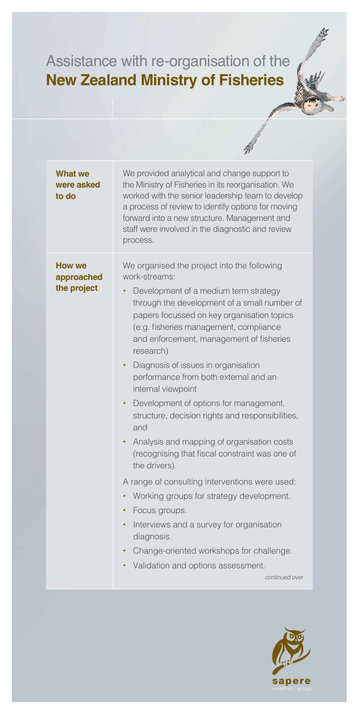## Assistance with re-organisation of the **New Zealand Ministry of Fisheries**

| <b>What we</b><br>were asked<br>to do      | We provided analytical and change support to<br>the Ministry of Fisheries in its reorganisation. We<br>worked with the senior leadership team to develop<br>a process of review to identify options for moving<br>forward into a new structure. Management and<br>staff were involved in the diagnostic and review<br>process.                                                                                                                                                                                                                                                                                                                                                                                                                                                                                                                                                                                                                                                  |
|--------------------------------------------|---------------------------------------------------------------------------------------------------------------------------------------------------------------------------------------------------------------------------------------------------------------------------------------------------------------------------------------------------------------------------------------------------------------------------------------------------------------------------------------------------------------------------------------------------------------------------------------------------------------------------------------------------------------------------------------------------------------------------------------------------------------------------------------------------------------------------------------------------------------------------------------------------------------------------------------------------------------------------------|
| <b>How we</b><br>approached<br>the project | We organised the project into the following<br>work-streams:<br>Development of a medium term strategy<br>through the development of a small number of<br>papers focussed on key organisation topics<br>(e.g. fisheries management, compliance<br>and enforcement, management of fisheries<br>research)<br>Diagnosis of issues in organisation<br>$\bullet$ .<br>performance from both external and an<br>internal viewpoint<br>Development of options for management,<br>٠<br>structure, decision rights and responsibilities,<br>and<br>Analysis and mapping of organisation costs<br>٠<br>(recognising that fiscal constraint was one of<br>the drivers).<br>A range of consulting interventions were used:<br>Working groups for strategy development.<br>$\bullet$<br>Focus groups.<br>$\bullet$<br>Interviews and a survey for organisation<br>$\bullet$<br>diagnosis.<br>Change-oriented workshops for challenge.<br>Validation and options assessment.<br>continued over |
|                                            |                                                                                                                                                                                                                                                                                                                                                                                                                                                                                                                                                                                                                                                                                                                                                                                                                                                                                                                                                                                 |